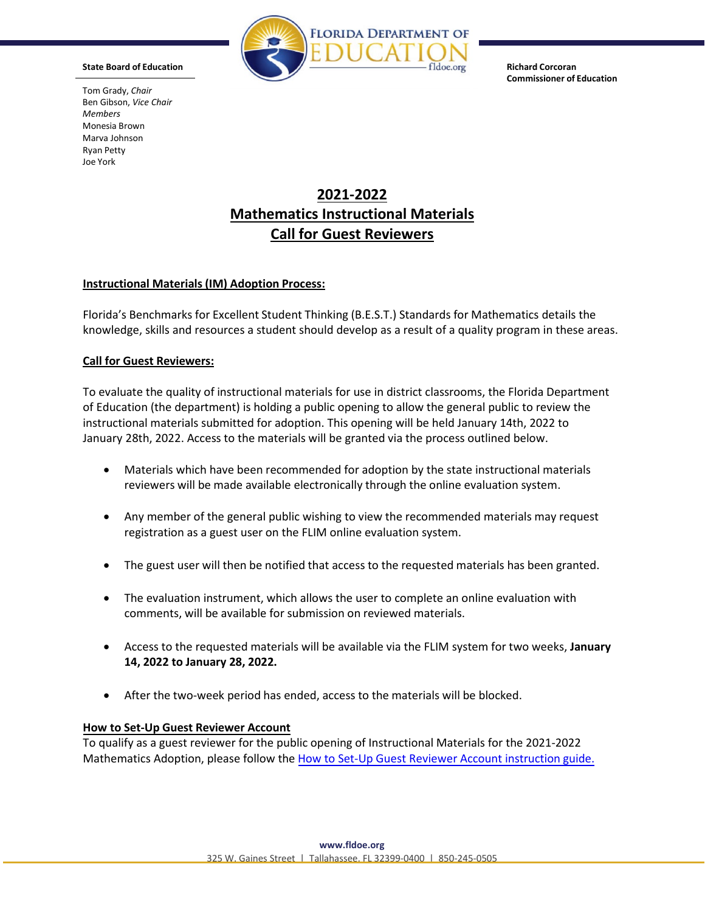

**Commissioner of Education**

Tom Grady, *Chair* Ben Gibson, *Vice Chair Members* Monesia Brown Marva Johnson Ryan Petty Joe York

# **2021-2022 Mathematics Instructional Materials Call for Guest Reviewers**

### **Instructional Materials(IM) Adoption Process:**

Florida's Benchmarks for Excellent Student Thinking (B.E.S.T.) Standards for Mathematics details the knowledge, skills and resources a student should develop as a result of a quality program in these areas.

#### **Call for Guest Reviewers:**

To evaluate the quality of instructional materials for use in district classrooms, the Florida Department of Education (the department) is holding a public opening to allow the general public to review the instructional materials submitted for adoption. This opening will be held January 14th, 2022 to January 28th, 2022. Access to the materials will be granted via the process outlined below.

- Materials which have been recommended for adoption by the state instructional materials reviewers will be made available electronically through the online evaluation system.
- Any member of the general public wishing to view the recommended materials may request registration as a guest user on the FLIM online evaluation system.
- The guest user will then be notified that access to the requested materials has been granted.
- The evaluation instrument, which allows the user to complete an online evaluation with comments, will be available for submission on reviewed materials.
- Access to the requested materials will be available via the FLIM system for two weeks, **January 14, 2022 to January 28, 2022.**
- After the two-week period has ended, access to the materials will be blocked.

#### **How to Set-Up Guest Reviewer Account**

To qualify as a guest reviewer for the public opening of Instructional Materials for the 2021-2022 Mathematics Adoption, please follow the How to [Set-Up Guest Reviewer](http://www.fldoe.org/core/fileparse.php/5574/urlt/HowtoSetUp-GuestReviewerAccount.pdf) Account instruction guide.